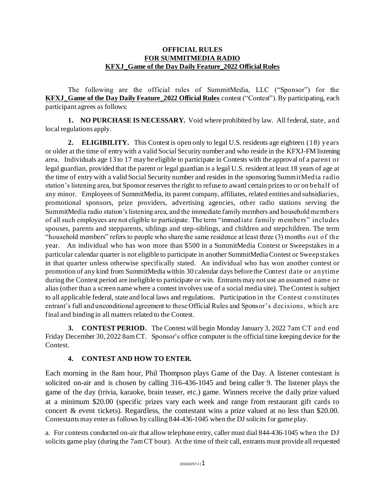## **OFFICIAL RULES FOR SUMMITMEDIA RADIO KFXJ\_Game of the Day Daily Feature\_2022 Official Rules**

The following are the official rules of SummitMedia, LLC ("Sponsor") for the **KFXJ\_Game of the Day Daily Feature\_2022 Official Rules** contest ("Contest"). By participating, each participant agrees as follows:

**1. NO PURCHASE IS NECESSARY.** Void where prohibited by law. All federal, state, and local regulations apply.

**2. ELIGIBILITY.** This Contest is open only to legal U.S. residents age eighteen (18) years or older at the time of entry with a valid Social Security number and who reside in the KFXJ-FM listening area. Individuals age 13 to 17 may be eligible to participate in Contests with the approval of a parent or legal guardian, provided that the parent or legal guardian is a legal U.S. resident at least 18 years of age at the time of entry with a valid Social Security number and resides in the sponsoring SummitMedia radio station's listening area, but Sponsor reserves the right to refuse to award certain prizes to or on behalf of any minor. Employees of SummitMedia, its parent company, affiliates, related entities and subsidiaries, promotional sponsors, prize providers, advertising agencies, other radio stations serving the SummitMedia radio station's listening area, and the immediate family members and household members of all such employees are not eligible to participate. The term "immediate family members" includes spouses, parents and stepparents, siblings and step-siblings, and children and stepchildren. The term "household members" refers to people who share the same residence at least three (3) months out of the year. An individual who has won more than \$500 in a SummitMedia Contest or Sweepstakes in a particular calendar quarter is not eligible to participate in another SummitMedia Contest or Sweepstakes in that quarter unless otherwise specifically stated. An individual who has won another contest or promotion of any kind from SummitMedia within 30 calendar days before the Contest date or anytime during the Contest period are ineligible to participate or win. Entrants may not use an assumed name or alias (other than a screen name where a contest involves use of a social media site). The Contest is subject to all applicable federal, state and local laws and regulations. Participation in the Contest constitutes entrant's full and unconditional agreement to these Official Rules and Sponsor's decisions, which are final and binding in all matters related to the Contest.

**3. CONTEST PERIOD.** The Contest will begin Monday January 3, 2022 7am CT and end Friday December 30, 2022 8am CT. Sponsor's office computer is the official time keeping device for the Contest.

## **4. CONTEST AND HOW TO ENTER.**

Each morning in the 8am hour, Phil Thompson plays Game of the Day. A listener contestant is solicited on-air and is chosen by calling 316-436-1045 and being caller 9. The listener plays the game of the day (trivia, karaoke, brain teaser, etc.) game. Winners receive the d aily prize valued at a minimum \$20.00 (specific prizes vary each week and range from restaurant gift cards to concert & event tickets). Regardless, the contestant wins a prize valued at no less than \$20.00. Contestants may enter as follows by calling 844-436-1045 when the DJ solicits for game play.

a. For contests conducted on-air that allow telephone entry, caller must dial 844-436-1045 when the DJ solicits game play (during the 7am CT hour). At the time of their call, entrants must provide all requested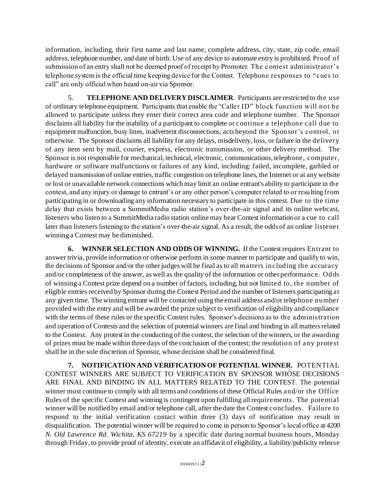information, including, their first name and last name, complete address, city, state, zip code, email address, telephone number, and date of birth. Use of any device to automate entry is prohibited. Proof of submission of an entry shall not be deemed proof of receipt by Promoter. The contest administrator's telephone system is the official time keeping device for the Contest. Telephone responses to "cues to call" are only official when heard on-air via Sponsor.

5. **TELEPHONE AND DELIVERY DISCLAIMER**. Participants are restricted to the use of ordinary telephone equipment. Participants that enable the "Caller ID" block f unction will not be allowed to participate unless they enter their correct area code and telephone number. The Sponsor disclaims all liability for the inability of a participant to complete or continue a telephone call due to equipment malfunction, busy lines, inadvertent disconnections, acts beyond the Sponsor's control, or otherwise. The Sponsor disclaims all liability for any delays, misdelivery, loss, or failure in the delivery of any item sent by mail, courier, express, electronic transmission, or other delivery method. The Sponsor is not responsible for mechanical, technical, electronic, communications, telephone, computer, hardware or software malfunctions or failures of any kind, including: failed, incomplete, garbled or delayed transmission of online entries, traffic congestion on telephone lines, the Internet or at any website or lost or unavailable network connections which may limit an online entrant's ability to participate in the contest, and any injury or damage to entrant's or any other person's computer related to or resulting from participating in or downloading any information necessary to participate in this contest. Due to the time delay that exists between a SummitMedia radio station's over-the-air signal and its online webcast, listeners who listen to a SummitMedia radio station online may hear Contest information or a cue to call later than listeners listening to the station's over-the-air signal. As a result, the odds of an online listener winning a Contest may be diminished.

**6. WINNER SELECTION AND ODDS OF WINNING.** If the Contest requires Entrant to answer trivia, provide information or otherwise perform in some manner to participate and qualify to win, the decisions of Sponsor and/or the other judges will be final as to all matters including the accuracy and/or completeness of the answer, as well as the quality of the information or other performance. Odds of winning a Contest prize depend on a number of factors, including, but not limited to, the number of eligible entries received by Sponsor during the Contest Period and the number of listeners participating at any given time. The winning entrant will be contacted using the email address and/or telephone number provided with the entry and will be awarded the prize subject to verification of eligibility and compliance with the terms of these rules or the specific Contest rules. Sponsor's decisions as to the administration and operation of Contests and the selection of potential winners are final and binding in all matters related to the Contest. Any protest in the conducting of the contest, the selection of the winners, or the awarding of prizes must be made within three days of the conclusion of the contest; the resolution of any protest shall be in the sole discretion of Sponsor, whose decision shall be considered final.

**7. NOTIFICATION AND VERIFICATION OF POTENTIAL WINNER.** POTENTIAL CONTEST WINNERS ARE SUBJECT TO VERIFICATION BY SPONSOR WHOSE DECISIONS ARE FINAL AND BINDING IN ALL MATTERS RELATED TO THE CONTEST. The potential winner must continue to comply with all terms and conditions of these Official Rules and/or the Office Rules of the specific Contest and winning is contingent upon fulfilling all requirements. The potential winner will be notified by email and/or telephone call, after the date the Contest concludes. Failure to respond to the initial verification contact within three (3) days of notification may result in disqualification. The potential winner will be required to come in person to Sponsor's local office at *4200 N. Old Lawrence Rd. Wichita, KS 67219* by a specific date during normal business hours, Monday through Friday, to provide proof of identity, execute an affidavit of eligibility, a liability/publicity release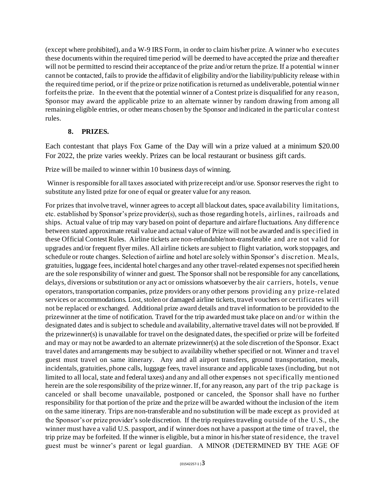(except where prohibited), and a W-9 IRS Form, in order to claim his/her prize. A winner who executes these documents within the required time period will be deemed to have accepted the prize and thereafter will not be permitted to rescind their acceptance of the prize and/or return the prize. If a potential winner cannot be contacted, fails to provide the affidavit of eligibility and/or the liability/publicity release within the required time period, or if the prize or prize notification is returned as undeliverable, potential winner forfeits the prize. In the event that the potential winner of a Contest prize is disqualified for any reason, Sponsor may award the applicable prize to an alternate winner by random drawing from among all remaining eligible entries, or other means chosen by the Sponsor and indicated in the particular contest rules.

## **8. PRIZES.**

Each contestant that plays Fox Game of the Day will win a prize valued at a minimum \$20.00 For 2022, the prize varies weekly. Prizes can be local restaurant or business gift cards.

Prize will be mailed to winner within 10 business days of winning.

Winner is responsible for all taxes associated with prize receipt and/or use. Sponsor reserves the right to substitute any listed prize for one of equal or greater value for any reason.

For prizes that involve travel, winner agrees to accept all blackout dates, space availability limitations, etc. established by Sponsor's prize provider(s), such as those regarding hotels, airlines, railroads and ships. Actual value of trip may vary based on point of departure and airfare fluctuations. Any difference between stated approximate retail value and actual value of Prize will not be awarded and is specified in these Official Contest Rules. Airline tickets are non-refundable/non-transferable and are not valid for upgrades and/or frequent flyer miles. All airline tickets are subject to flight variation, work stoppages, and schedule or route changes. Selection of airline and hotel are solely within Sponsor's discretion. Meals, gratuities, luggage fees, incidental hotel charges and any other travel-related expenses not specified herein are the sole responsibility of winner and guest. The Sponsor shall not be responsible for any cancellations, delays, diversions or substitution or any act or omissions whatsoever by the air carriers, hotels, venue operators, transportation companies, prize providers or any other persons providing any prize-related services or accommodations. Lost, stolen or damaged airline tickets, travel vouchers or certificates will not be replaced or exchanged. Additional prize award details and travel information to be provided to the prizewinner at the time of notification. Travel for the trip awarded must take place on and/or within the designated dates and is subject to schedule and availability, alternative travel dates will not be provided. If the prizewinner(s) is unavailable for travel on the designated dates, the specified or prize will be forfeited and may or may not be awarded to an alternate prizewinner(s) at the sole discretion of the Sponsor. Exact travel dates and arrangements may be subject to availability whether specified or not. Winner and travel guest must travel on same itinerary. Any and all airport transfers, ground transportation, meals, incidentals, gratuities, phone calls, luggage fees, travel insurance and applicable taxes (including, but not limited to all local, state and federal taxes) and any and all other expenses not specifically mentioned herein are the sole responsibility of the prize winner. If, for any reason, any part of the trip package is canceled or shall become unavailable, postponed or canceled, the Sponsor shall have no further responsibility for that portion of the prize and the prize will be awarded without the inclusion of the item on the same itinerary. Trips are non-transferable and no substitution will be made except as provided at the Sponsor's or prize provider's sole discretion. If the trip requires traveling outside of the U.S., the winner must have a valid U.S. passport, and if winner does not have a passport at the time of travel, the trip prize may be forfeited. If the winner is eligible, but a minor in his/her state of residence, the travel guest must be winner's parent or legal guardian. A MINOR (DETERMINED BY THE AGE OF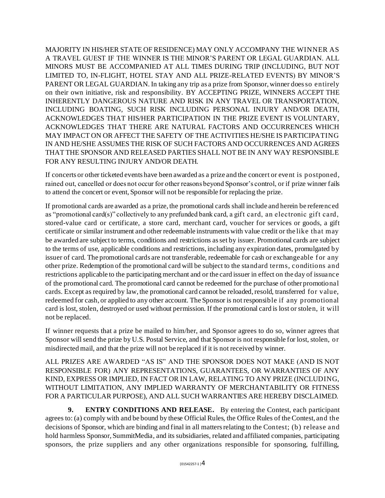MAJORITY IN HIS/HER STATE OF RESIDENCE) MAY ONLY ACCOMPANY THE WINNER AS A TRAVEL GUEST IF THE WINNER IS THE MINOR'S PARENT OR LEGAL GUARDIAN. ALL MINORS MUST BE ACCOMPANIED AT ALL TIMES DURING TRIP (INCLUDING, BUT NOT LIMITED TO, IN-FLIGHT, HOTEL STAY AND ALL PRIZE-RELATED EVENTS) BY MINOR'S PARENT OR LEGAL GUARDIAN. In taking any trip as a prize from Sponsor, winner does so entirely on their own initiative, risk and responsibility. BY ACCEPTING PRIZE, WINNERS ACCEPT THE INHERENTLY DANGEROUS NATURE AND RISK IN ANY TRAVEL OR TRANSPORTATION, INCLUDING BOATING, SUCH RISK INCLUDING PERSONAL INJURY AND/OR DEATH, ACKNOWLEDGES THAT HIS/HER PARTICIPATION IN THE PRIZE EVENT IS VOLUNTARY, ACKNOWLEDGES THAT THERE ARE NATURAL FACTORS AND OCCURRENCES WHICH MAY IMPACT ON OR AFFECT THE SAFETY OF THE ACTIVITIES HE/SHE IS PARTICIPATING IN AND HE/SHE ASSUMES THE RISK OF SUCH FACTORS AND OCCURRENCES AND AGREES THAT THE SPONSOR AND RELEASED PARTIES SHALL NOT BE IN ANY WAY RESPONSIBLE FOR ANY RESULTING INJURY AND/OR DEATH.

If concerts or other ticketed events have been awarded as a prize and the concert or event is postponed, rained out, cancelled or does not occur for other reasons beyond Sponsor's control, or if prize winner fails to attend the concert or event, Sponsor will not be responsible for replacing the prize.

If promotional cards are awarded as a prize, the promotional cards shall include and herein be referenced as "promotional card(s)" collectively to any prefunded bank card, a gift card, an electronic gift card, stored-value card or certificate, a store card, merchant card, voucher for services or goods, a gift certificate or similar instrument and other redeemable instruments with value credit or the like that may be awarded are subject to terms, conditions and restrictions as set by issuer. Promotional cards are subject to the terms of use, applicable conditions and restrictions, including any expiration dates, promulgated by issuer of card. The promotional cards are not transferable, redeemable for cash or exchangeable for any other prize. Redemption of the promotional card will be subject to the standard terms, conditions and restrictions applicable to the participating merchant and or the card issuer in effect on the day of issuance of the promotional card. The promotional card cannot be redeemed for the purchase of other promotional cards. Except as required by law, the promotional card cannot be reloaded, resold, transferred for value, redeemed for cash, or applied to any other account. The Sponsor is not responsible if any promotional card is lost, stolen, destroyed or used without permission. If the promotional card is lost or stolen, it will not be replaced.

If winner requests that a prize be mailed to him/her, and Sponsor agrees to do so, winner agrees that Sponsor will send the prize by U.S. Postal Service, and that Sponsor is not responsible for lost, stolen, or misdirected mail, and that the prize will not be replaced if it is not received by winner.

ALL PRIZES ARE AWARDED "AS IS" AND THE SPONSOR DOES NOT MAKE (AND IS NOT RESPONSIBLE FOR) ANY REPRESENTATIONS, GUARANTEES, OR WARRANTIES OF ANY KIND, EXPRESS OR IMPLIED, IN FACT OR IN LAW, RELATING TO ANY PRIZE (INCLUDING, WITHOUT LIMITATION, ANY IMPLIED WARRANTY OF MERCHANTABILITY OR FITNESS FOR A PARTICULAR PURPOSE), AND ALL SUCH WARRANTIES ARE HEREBY DISCLAIMED.

**9. ENTRY CONDITIONS AND RELEASE.** By entering the Contest, each participant agrees to: (a) comply with and be bound by these Official Rules, the Office Rules of the Contest, and the decisions of Sponsor, which are binding and final in all matters relating to the Contest; (b) release and hold harmless Sponsor, SummitMedia, and its subsidiaries, related and affiliated companies, participating sponsors, the prize suppliers and any other organizations responsible for sponsoring, fulfilling,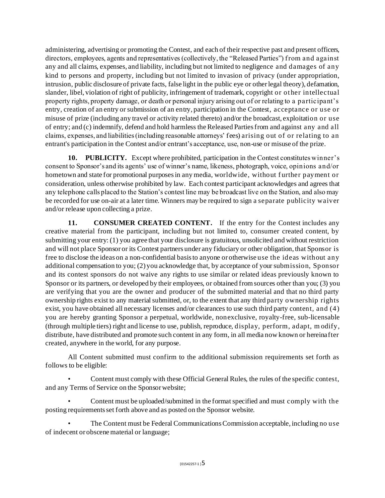administering, advertising or promoting the Contest, and each of their respective past and present officers, directors, employees, agents and representatives (collectively, the "Released Parties") from and against any and all claims, expenses, and liability, including but not limited to negligence and damages of any kind to persons and property, including but not limited to invasion of privacy (under appropriation, intrusion, public disclosure of private facts, false light in the public eye or other legal theory), defamation, slander, libel, violation of right of publicity, infringement of trademark, copyright or ot her intellectual property rights, property damage, or death or personal injury arising out of or relating to a participant's entry, creation of an entry or submission of an entry, participation in the Contest, acceptance or use or misuse of prize (including any travel or activity related thereto) and/or the broadcast, exploitation or use of entry; and (c) indemnify, defend and hold harmless the Released Parties from and against any and all claims, expenses, and liabilities (including reasonable attorneys' fees) arising out of or relating to an entrant's participation in the Contest and/or entrant's acceptance, use, non-use or misuse of the prize.

**10. PUBLICITY.** Except where prohibited, participation in the Contest constitutes winner's consent to Sponsor's and its agents' use of winner's name, likeness, photograph, voice, opinions and/or hometown and state for promotional purposes in any media, worldwide, without further payment or consideration, unless otherwise prohibited by law. Each contest participant acknowledges and agrees that any telephone calls placed to the Station's contest line may be broadcast live on the Station, and also may be recorded for use on-air at a later time. Winners may be required to sign a separate publicity waiver and/or release upon collecting a prize.

**11. CONSUMER CREATED CONTENT.** If the entry for the Contest includes any creative material from the participant, including but not limited to, consumer created content, by submitting your entry: (1) you agree that your disclosure is gratuitous, unsolicited and without restriction and will not place Sponsor or its Contest partners under any fiduciary or other obligation, that Sponsor is free to disclose the ideas on a non-confidential basis to anyone or otherwise use the ideas without any additional compensation to you; (2) you acknowledge that, by acceptance of your submission, Sponsor and its contest sponsors do not waive any rights to use similar or related ideas previously known to Sponsor or its partners, or developed by their employees, or obtained from sources other than you; (3) you are verifying that you are the owner and producer of the submitted material and that no third party ownership rights exist to any material submitted, or, to the extent that any third party ownership rights exist, you have obtained all necessary licenses and/or clearances to use such third party content, and (4) you are hereby granting Sponsor a perpetual, worldwide, nonexclusive, royalty-free, sub-licensable (through multiple tiers) right and license to use, publish, reproduce, display, perform, adapt, m odify, distribute, have distributed and promote such content in any form, in all media now known or hereinafter created, anywhere in the world, for any purpose.

All Content submitted must confirm to the additional submission requirements set forth as follows to be eligible:

• Content must comply with these Official General Rules, the rules of the specific contest, and any Terms of Service on the Sponsor website;

• Content must be uploaded/submitted in the format specified and must comply with the posting requirements set forth above and as posted on the Sponsor website.

• The Content must be Federal Communications Commission acceptable, including no use of indecent or obscene material or language;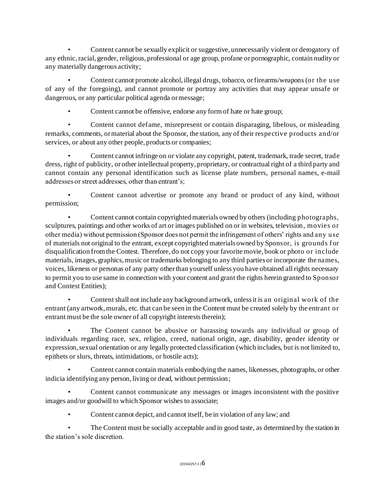• Content cannot be sexually explicit or suggestive, unnecessarily violent or derogatory of any ethnic, racial, gender, religious, professional or age group, profane or pornographic, contain nudity or any materially dangerous activity;

• Content cannot promote alcohol, illegal drugs, tobacco, or firearms/weapons (or the use of any of the foregoing), and cannot promote or portray any activities that may appear unsafe or dangerous, or any particular political agenda or message;

• Content cannot be offensive, endorse any form of hate or hate group;

• Content cannot defame, misrepresent or contain disparaging, libelous, or misleading remarks, comments, or material about the Sponsor, the station, any of their respective products and/or services, or about any other people, products or companies;

• Content cannot infringe on or violate any copyright, patent, trademark, trade secret, trade dress, right of publicity, or other intellectual property, proprietary, or contractual right of a third party and cannot contain any personal identification such as license plate numbers, personal names, e-mail addresses or street addresses, other than entrant's;

• Content cannot advertise or promote any brand or product of any kind, without permission;

• Content cannot contain copyrighted materials owned by others (including photographs, sculptures, paintings and other works of art or images published on or in websites, television, movies or other media) without permission (Sponsor does not permit the infringement of others' rights and any use of materials not original to the entrant, except copyrighted materials owned by Sponsor, is grounds f or disqualification from the Contest. Therefore, do not copy your favorite movie, book or photo or include materials, images, graphics, music or trademarks belonging to any third parties or incorporate the names, voices, likeness or personas of any party other than yourself unless you have obtained all rights necessary to permit you to use same in connection with your content and grant the rights herein granted to Sponsor and Contest Entities);

• Content shall not include any background artwork, unless it is an original work of the entrant (any artwork, murals, etc. that can be seen in the Content must be created solely by the entrant or entrant must be the sole owner of all copyright interests therein);

• The Content cannot be abusive or harassing towards any individual or group of individuals regarding race, sex, religion, creed, national origin, age, disability, gender identity or expression, sexual orientation or any legally protected classification (which includes, but is not limited to, epithets or slurs, threats, intimidations, or hostile acts);

• Content cannot contain materials embodying the names, likenesses, photographs, or other indicia identifying any person, living or dead, without permission;

• Content cannot communicate any messages or images inconsistent with the positive images and/or goodwill to which Sponsor wishes to associate;

• Content cannot depict, and cannot itself, be in violation of any law; and

• The Content must be socially acceptable and in good taste, as determined by the station in the station's sole discretion.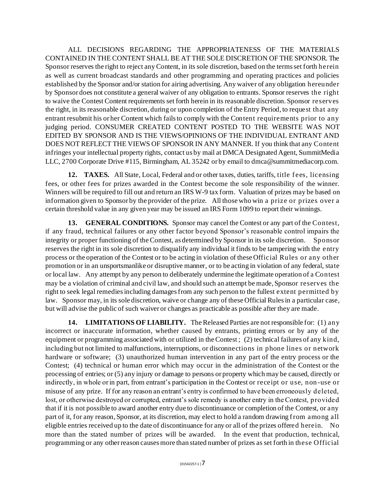ALL DECISIONS REGARDING THE APPROPRIATENESS OF THE MATERIALS CONTAINED IN THE CONTENT SHALL BE AT THE SOLE DISCRETION OF THE SPONSOR. The Sponsor reserves the right to reject any Content, in its sole discretion, based on the terms set forth herein as well as current broadcast standards and other programming and operating practices and policies established by the Sponsor and/or station for airing advertising. Any waiver of any obligation hereunder by Sponsor does not constitute a general waiver of any obligation to entrants. Sponsor reserves the right to waive the Contest Content requirements set forth herein in its reasonable discretion. Sponsor reserves the right, in its reasonable discretion, during or upon completion of the Entry Period, to request that any entrant resubmit his or her Content which fails to comply with the Content requirements prior to any judging period. CONSUMER CREATED CONTENT POSTED TO THE WEBSITE WAS NOT EDITED BY SPONSOR AND IS THE VIEWS/OPINIONS OF THE INDIVIDUAL ENTRANT AND DOES NOT REFLECT THE VIEWS OF SPONSOR IN ANY MANNER. If you think that any Content infringes your intellectual property rights, contact us by mail at DMCA Designated Agent, SummitMedia LLC, 2700 Corporate Drive #115, Birmingham, AL 35242 or by email to dmca@summitmediacorp.com.

12. TAXES. All State, Local, Federal and or other taxes, duties, tariffs, title fees, licensing fees, or other fees for prizes awarded in the Contest become the sole responsibility of the winner. Winners will be required to fill out and return an IRS W-9 tax form. Valuation of prizes may be based on information given to Sponsor by the provider of the prize. All those who win a prize or prizes over a certain threshold value in any given year may be issued an IRS Form 1099 to report their winnings.

**13. GENERAL CONDITIONS.** Sponsor may cancel the Contest or any part of the Contest, if any fraud, technical failures or any other factor beyond Sponsor's reasonable control impairs the integrity or proper functioning of the Contest, as determined by Sponsor in its sole discretion. Sponsor reserves the right in its sole discretion to disqualify any individual it finds to be tampering with the entry process or the operation of the Contest or to be acting in violation of these Official Rules or any other promotion or in an unsportsmanlike or disruptive manner, or to be acting in violation of any federal, state or local law. Any attempt by any person to deliberately undermine the legitimate operation of a Contest may be a violation of criminal and civil law, and should such an attempt be made, Sponsor reserves the right to seek legal remedies including damages from any such person to the fullest extent permitted by law. Sponsor may, in its sole discretion, waive or change any of these Official Rules in a particular case, but will advise the public of such waiver or changes as practicable as possible after they are made.

**14. LIMITATIONS OF LIABILITY.** The Released Parties are not responsible for: (1) any incorrect or inaccurate information, whether caused by entrants, printing errors or by any of the equipment or programming associated with or utilized in the Contest ; (2) technical failures of any kind, including but not limited to malfunctions, interruptions, or disconnections in phone lines or network hardware or software; (3) unauthorized human intervention in any part of the entry process or the Contest; (4) technical or human error which may occur in the administration of the Contest or the processing of entries; or (5) any injury or damage to persons or property which may be caused, directly or indirectly, in whole or in part, from entrant's participation in the Contest or receipt or use, non -use or misuse of any prize. If for any reason an entrant's entry is confirmed to have been erroneously deleted, lost, or otherwise destroyed or corrupted, entrant's sole remedy is another entry in the Contest, provided that if it is not possible to award another entry due to discontinuance or completion of the Contest, or any part of it, for any reason, Sponsor, at its discretion, may elect to hold a random drawing from among all eligible entries received up to the date of discontinuance for any or all of the prizes offered herein. No more than the stated number of prizes will be awarded. In the event that production, technical, programming or any other reason causes more than stated number of prizes as set forth in these Official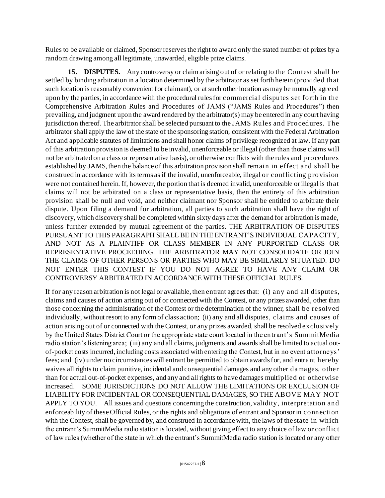Rules to be available or claimed, Sponsor reserves the right to award only the stated number of prizes by a random drawing among all legitimate, unawarded, eligible prize claims.

**15. DISPUTES.** Any controversy or claim arising out of or relating to the Contest shall be settled by binding arbitration in a location determined by the arbitrator as set forth herein (provided that such location is reasonably convenient for claimant), or at such other location as may be mutually agreed upon by the parties, in accordance with the procedural rules for commercial disputes set forth in the Comprehensive Arbitration Rules and Procedures of JAMS ("JAMS Rules and Procedures") then prevailing, and judgment upon the award rendered by the arbitrator(s) may be entered in any court having jurisdiction thereof. The arbitrator shall be selected pursuant to the JAMS Rules and Procedures. The arbitrator shall apply the law of the state of the sponsoring station, consistent with the Federal Arbitration Act and applicable statutes of limitations and shall honor claims of privilege recognized at law. If any part of this arbitration provision is deemed to be invalid, unenforceable or illegal (other than those claims will not be arbitrated on a class or representative basis), or otherwise conflicts with the rules and procedures established by JAMS, then the balance of this arbitration provision shall remain in effect and shall be construed in accordance with its terms as if the invalid, unenforceable, illegal or conflicting provision were not contained herein. If, however, the portion that is deemed invalid, unenforceable or illegal is that claims will not be arbitrated on a class or representative basis, then the entirety of this arbitration provision shall be null and void, and neither claimant nor Sponsor shall be entitled to arbitrate their dispute. Upon filing a demand for arbitration, all parties to such arbitration shall have the right of discovery, which discovery shall be completed within sixty days after the demand for arbitration is made, unless further extended by mutual agreement of the parties. THE ARBITRATION OF DISPUTES PURSUANT TO THIS PARAGRAPH SHALL BE IN THE ENTRANT'S INDIVIDUAL CAPACITY, AND NOT AS A PLAINTIFF OR CLASS MEMBER IN ANY PURPORTED CLASS OR REPRESENTATIVE PROCEEDING. THE ARBITRATOR MAY NOT CONSOLIDATE OR JOIN THE CLAIMS OF OTHER PERSONS OR PARTIES WHO MAY BE SIMILARLY SITUATED. DO NOT ENTER THIS CONTEST IF YOU DO NOT AGREE TO HAVE ANY CLAIM OR CONTROVERSY ARBITRATED IN ACCORDANCE WITH THESE OFFICIAL RULES.

If for any reason arbitration is not legal or available, then entrant agrees that: (i) any and all disputes, claims and causes of action arising out of or connected with the Contest, or any prizes awarded, other than those concerning the administration of the Contest or the determination of the winner, shall be resolved individually, without resort to any form of class action; (ii) any and all disputes, claims and causes of action arising out of or connected with the Contest, or any prizes awarded, shall be resolved exclusively by the United States District Court or the appropriate state court located in the entrant's SummitMedia radio station's listening area; (iii) any and all claims, judgments and awards shall be limited to actual outof-pocket costs incurred, including costs associated with entering the Contest, but in no event attorneys' fees; and (iv) under no circumstances will entrant be permitted to obtain awards for, and entrant hereby waives all rights to claim punitive, incidental and consequential damages and any other damages, other than for actual out-of-pocket expenses, and any and all rights to have damages multiplied or otherwise increased. SOME JURISDICTIONS DO NOT ALLOW THE LIMITATIONS OR EXCLUSION OF LIABILITY FOR INCIDENTAL OR CONSEQUENTIAL DAMAGES, SO THE ABOVE MAY NOT APPLY TO YOU. All issues and questions concerning the construction, validity, interpretation and enforceability of these Official Rules, or the rights and obligations of entrant and Sponsor in connection with the Contest, shall be governed by, and construed in accordance with, the laws of the state in which the entrant's SummitMedia radio station is located, without giving effect to any choice of law or conflict of law rules (whether of the state in which the entrant's SummitMedia radio station is located or any other